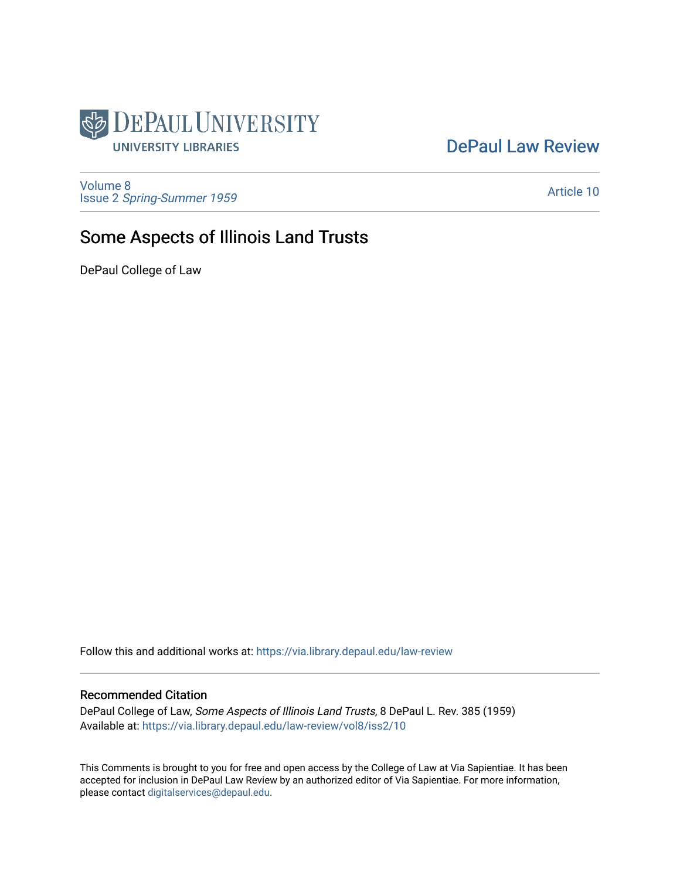

[DePaul Law Review](https://via.library.depaul.edu/law-review) 

[Volume 8](https://via.library.depaul.edu/law-review/vol8) Issue 2 [Spring-Summer 1959](https://via.library.depaul.edu/law-review/vol8/iss2) 

[Article 10](https://via.library.depaul.edu/law-review/vol8/iss2/10) 

# Some Aspects of Illinois Land Trusts

DePaul College of Law

Follow this and additional works at: [https://via.library.depaul.edu/law-review](https://via.library.depaul.edu/law-review?utm_source=via.library.depaul.edu%2Flaw-review%2Fvol8%2Fiss2%2F10&utm_medium=PDF&utm_campaign=PDFCoverPages) 

# Recommended Citation

DePaul College of Law, Some Aspects of Illinois Land Trusts, 8 DePaul L. Rev. 385 (1959) Available at: [https://via.library.depaul.edu/law-review/vol8/iss2/10](https://via.library.depaul.edu/law-review/vol8/iss2/10?utm_source=via.library.depaul.edu%2Flaw-review%2Fvol8%2Fiss2%2F10&utm_medium=PDF&utm_campaign=PDFCoverPages) 

This Comments is brought to you for free and open access by the College of Law at Via Sapientiae. It has been accepted for inclusion in DePaul Law Review by an authorized editor of Via Sapientiae. For more information, please contact [digitalservices@depaul.edu.](mailto:digitalservices@depaul.edu)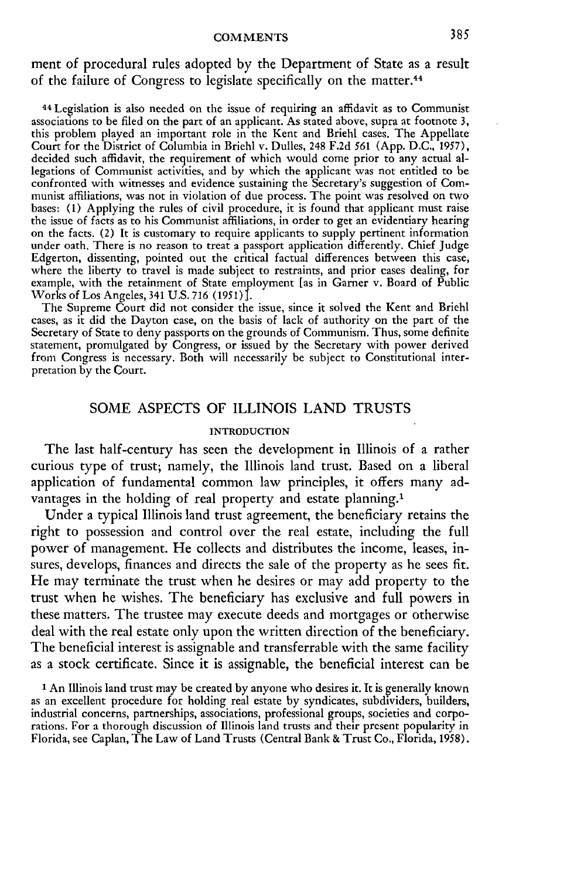ment of procedural rules adopted by the Department of State as a result of the failure of Congress to legislate specifically on the matter.<sup>44</sup>

44 Legislation is also needed on the issue of requiring an affidavit as to Communist associations to be filed on the part of an applicant. As stated above, supra at footnote 3, this problem played an important role in the Kent and Briehl cases. The Appellate Court for the District of Columbia in Briehl v. Dulles, 248 F.2d 561 (App. D.C., 1957), decided such affidavit, the requirement of which would come prior to any actual allegations of Communist activities, and by which the applicant was not entitled to be confronted with witnesses and evidence sustaining the Secretary's suggestion of Communist affiliations, was not in violation of due process. The point was resolved on two bases: (1) Applying the rules of civil procedure, it is found that applicant must raise the issue of facts as to his Communist affiliations, in order to get an evidentiary hearing on the facts. (2) It is customary to require applicants to supply pertinent information under oath. There is no reason to treat a passport application differently. Chief Judge Edgerton, dissenting, pointed out the critical factual differences between this case, where the liberty to travel is made subject to restraints, and prior cases dealing, for example, with the retainment of State employment [as in Garner v. Board of Public Works of Los Angeles, 341 U.S. 716 (1951) *.*

The Supreme Court did not consider the issue, since it solved the Kent and Briehl cases, as it did the Dayton case, on the basis of lack of authority on the part of the Secretary of State to deny passports on the grounds of Communism. Thus, some definite statement, promulgated by Congress, or issued by the Secretary with power derived from Congress is necessary. Both will necessarily be subject to Constitutional interpretation by the Court.

## SOME ASPECTS OF ILLINOIS LAND TRUSTS

#### **INTRODUCTION**

The last half-century has seen the development in Illinois of a rather curious type of trust; namely, the Illinois land trust. Based on a liberal application of fundamental common law principles, it offers many advantages in the holding of real property and estate planning.<sup>1</sup>

Under a typical Illinois land trust agreement, the beneficiary retains the right to possession and control over the real estate, including the full power of management. He collects and distributes the income, leases, insures, develops, finances and directs the sale of the property as he sees fit. He may terminate the trust when he desires or may add property to the trust when he wishes. The beneficiary has exclusive and full powers in these matters. The trustee may execute deeds and mortgages or otherwise deal with the real estate only upon the written direction of the beneficiary. The beneficial interest is assignable and transferrable with the same facility as a stock certificate. Since it is assignable, the beneficial interest can be

**<sup>1</sup>**An Illinois land trust may be created by anyone who desires it. It is generally known as an excellent procedure for holding real estate by syndicates, subdividers, builders, industrial concerns, partnerships, associations, professional groups, societies and corporations. For a thorough discussion of Illinois land trusts and their present popularity in Florida, see Caplan, The Law of Land Trusts (Central Bank & Trust Co., Florida, 1958).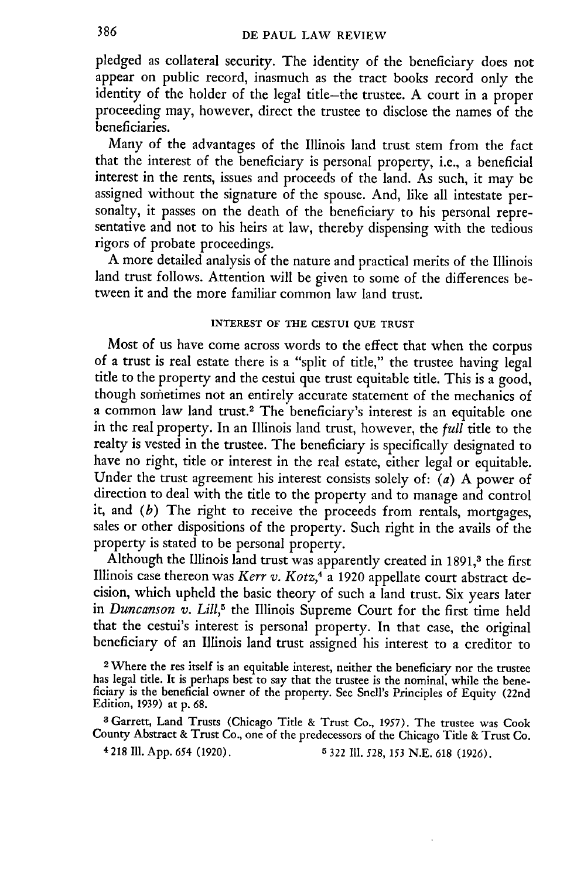pledged as collateral security. The identity of the beneficiary does not appear on public record, inasmuch as the tract books record only the identity of the holder of the legal title-the trustee. A court in a proper proceeding may, however, direct the trustee to disclose the names of the beneficiaries.

Many of the advantages of the Illinois land trust stem from the fact that the interest of the beneficiary is personal property, i.e., a beneficial interest in the rents, issues and proceeds of the land. As such, it may be assigned without the signature of the spouse. And, like all intestate personalty, it passes on the death of the beneficiary to his personal representative and not to his heirs at law, thereby dispensing with the tedious rigors of probate proceedings.

A more detailed analysis of the nature and practical merits of the Illinois land trust follows. Attention will be given to some of the differences between it and the more familiar common law land trust.

## **INTEREST OF THE CESTUI QUE TRUST**

Most of us have come across words to the effect that when the corpus of a trust is real estate there is a "split of title," the trustee having legal title to the property and the cestui que trust equitable title. This is a good, though sometimes not an entirely accurate statement of the mechanics of a common law land trust.<sup>2</sup> The beneficiary's interest is an equitable one in the real property. In an Illinois land trust, however, the *full* title to the realty is vested in the trustee. The beneficiary is specifically designated to have no right, title or interest in the real estate, either legal or equitable. Under the trust agreement his interest consists solely of: *(a)* A power of direction to deal with the title to the property and to manage and control it, and *(b)* The right to receive the proceeds from rentals, mortgages, sales or other dispositions of the property. Such right in the avails of the property is stated to be personal property.

Although the Illinois land trust was apparently created in 1891,<sup>3</sup> the first Illinois case thereon was *Kerr v. Kotz,4* a 1920 appellate court abstract **de**cision, which upheld the basic theory of such a land trust. Six years later in *Duncanson v. Lill,"* the Illinois Supreme Court for the first time held that the cestui's interest is personal property. In that case, the original beneficiary of an Illinois land trust assigned his interest to a creditor to

2 Where the res itself is an equitable interest, neither the beneficiary nor the trustee has legal title. It is perhaps best to say that the trustee is the nominal, while the beneficiary is the beneficial owner of the property. See Snell's Principles of Equity (22nd Edition, 1939) at **p. 68.**

a Garrett, Land Trusts (Chicago Title & Trust Co., 1957). The trustee was Cook County Abstract & Trust Co., one of the predecessors of the Chicago Title & Trust Co.

**4 218 Ill.** App. 654 (1920). **5** 322 Ill. **528,** 153 **N.E. 618** (1926).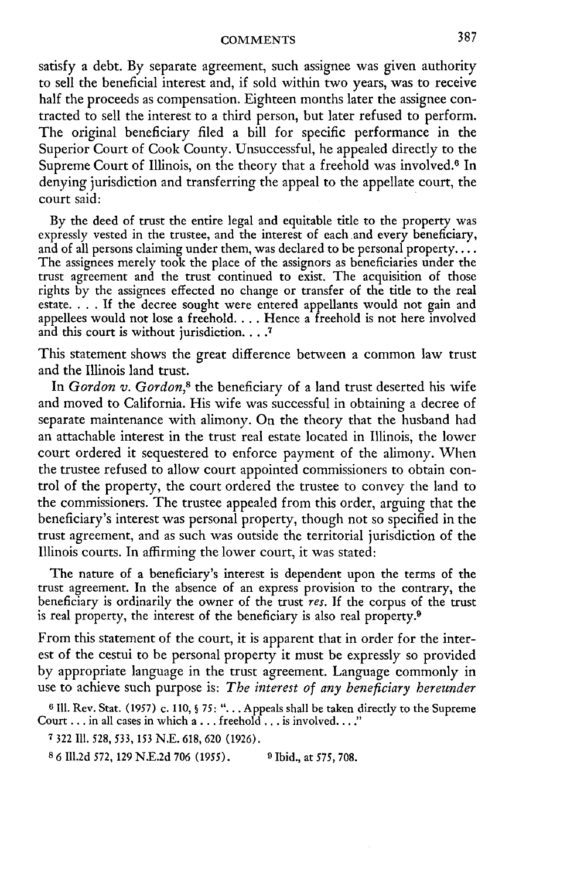satisfy a debt. By separate agreement, such assignee was given authority to sell the beneficial interest and, if sold within two years, was to receive half the proceeds as compensation. Eighteen months later the assignee contracted to sell the interest to a third person, but later refused to perform. The original beneficiary filed a bill for specific performance in the Superior Court of Cook County. Unsuccessful, he appealed directly to the Supreme Court of Illinois, on the theory that a freehold was involved.<sup>6</sup> In denying jurisdiction and transferring the appeal to the appellate court, the court said:

By the deed of trust the entire legal and equitable title to the property was expressly vested in the trustee, and the interest of each and every beneficiary, and of all persons claiming under them, was declared to be personal property.... The assignees merely took the place of the assignors as beneficiaries under the trust agreement and the trust continued to exist. The acquisition of those rights by the assignees effected no change or transfer of the title to the real estate. . **.** .**If** the decree sought were entered appellants would not gain and appellees would not lose a freehold. . . . Hence a freehold is not here involved and this court is without jurisdiction **.... 7**

This statement shows the great difference between a common law trust and the Illinois land trust.

In *Gordon v. Gordon,8* the beneficiary of a land trust deserted his wife and moved to California. His wife was successful in obtaining a decree of separate maintenance with alimony. On the theory that the husband had an attachable interest in the trust real estate located in Illinois, the lower court ordered it sequestered to enforce payment of the alimony. When the trustee refused to allow court appointed commissioners to obtain control of the property, the court ordered the trustee to convey the land to the commissioners. The trustee appealed from this order, arguing that the beneficiary's interest was personal property, though not so specified in the trust agreement, and as such was outside the territorial jurisdiction of the Illinois courts. In affirming the lower court, it was stated:

The nature of a beneficiary's interest is dependent upon the terms of the trust agreement. In the absence of an express provision to the contrary, the beneficiary is ordinarily the owner of the trust *res.* If the corpus of the trust is real property, the interest of the beneficiary is also real property.9

From this statement of the court, it is apparent that in order for the interest of the cestui to be personal property it must be expressly so provided by appropriate language in the trust agreement. Language commonly in use to achieve such purpose is: *The interest of any beneficiary hereunder*

**6 111.** Rev. Stat. (1957) c. 110, § *75:* **"...** . Appeals shall be taken directly to the Supreme Court... in all cases in which a **...** freehold... is involved...."

**7** 322 **111.** 528, 533, 153 N.E. 618, 620 (1926).

**8** 6 Ill.2d 572, 129 N.E.2d 706 (1955). **9** Ibid., at *575,* 708.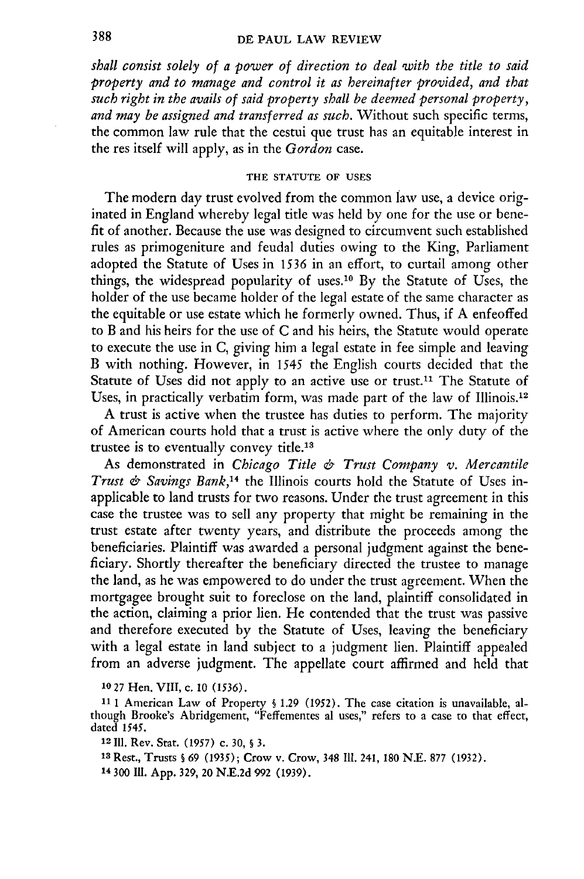### DE **PAUL** LAW REVIEW

*shall consist solely of a power of direction to deal with the title to said property and to manage and control it as hereinafter provided, and that such right in the avails of said property shall be deemed personal property, and may be assigned and transferred as such.* Without such specific terms, the common law rule that the cestui que trust has an equitable interest in the res itself will apply, as in the *Gordon* case.

## **THE STATUTE OF USES**

The modern day trust evolved from the common law use, a device originated in England whereby legal title was held by one for the use or benefit of another. Because the use was designed to circumvent such established rules as primogeniture and feudal duties owing to the King, Parliament adopted the Statute of Uses in *1536* in an effort, to curtail among other things, the widespread popularity of uses.<sup>10</sup> By the Statute of Uses, the holder of the use became holder of the legal estate of the same character as the equitable or use estate which he formerly owned. Thus, if A enfeoffed to B and his heirs for the use of C and his heirs, the Statute would operate to execute the use in C, giving him a legal estate in fee simple and leaving B with nothing. However, in *1545* the English courts decided that the Statute of Uses did not apply to an active use or trust.<sup>11</sup> The Statute of Uses, in practically verbatim form, was made part of the law of Illinois.<sup>12</sup>

A trust is active when the trustee has duties to perform. The majority of American courts hold that a trust is active where the only duty of the trustee is to eventually convey title.<sup>13</sup>

As demonstrated in *Chicago Title & Trust Company v. Mercantile Trust & Savings Bank,<sup>14</sup>*the Illinois courts hold the Statute of Uses inapplicable to land trusts for two reasons. Under the trust agreement in this case the trustee was to sell any property that might be remaining in the trust estate after twenty years, and distribute the proceeds among the beneficiaries. Plaintiff was awarded a personal judgment against the beneficiary. Shortly thereafter the beneficiary directed the trustee to manage the land, as he was empowered to do under the trust agreement. When the mortgagee brought suit to foreclose on the land, plaintiff consolidated in the action, claiming a prior lien. He contended that the trust was passive and therefore executed by the Statute of Uses, leaving the beneficiary with a legal estate in land subject to a judgment lien. Plaintiff appealed from an adverse judgment. The appellate court affirmed and held that

**10 27** Hen. VIII, c. 10 *(1536).*

**11 1** American Law of Property § 1.29 (1952). The case citation is unavailable, although Brooke's Abridgement, "Feffementes al uses," refers to a case to that effect, dated 1545.

12 **111.** Rev. Star. (1957) c. 30, § 3.

**<sup>13</sup>**Rest., Trusts § 69 (1935); Crow v. Crow, 348 Il1. 241, 180 N.E. 877 (1932).

14 300 Ill. App. 329, 20 N.E.2d 992 (1939).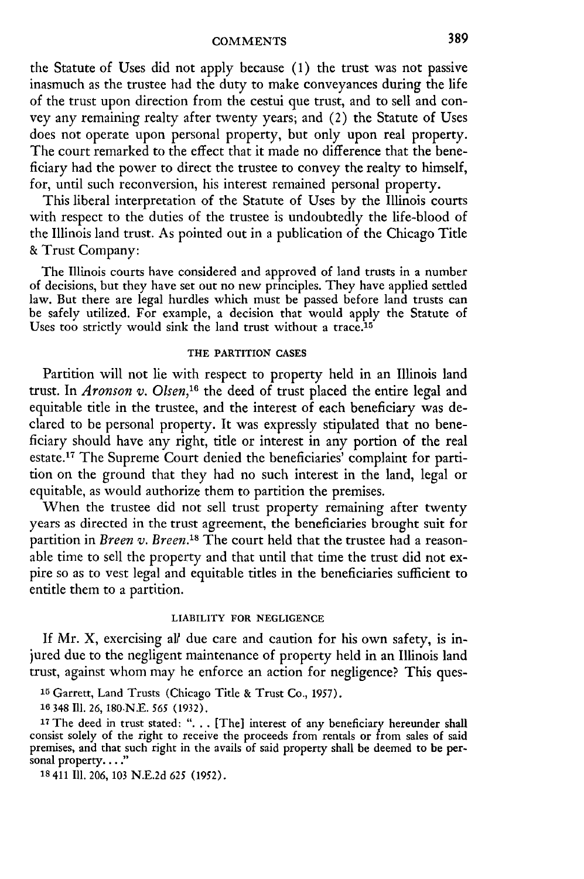the Statute of Uses did not apply because **(1)** the trust was not passive inasmuch as the trustee had the duty to make conveyances during the life of the trust upon direction from the cestui que trust, and to sell and convey any remaining realty after twenty years; and (2) the Statute of Uses does not operate upon personal property, but only upon real property. The court remarked to the effect that it made no difference that the beneficiary had the power to direct the trustee to convey the realty to himself, for, until such reconversion, his interest remained personal property.

This liberal interpretation of the Statute of Uses by the Illinois courts with respect to the duties of the trustee is undoubtedly the life-blood of the Illinois land trust. As pointed out in a publication of the Chicago Title & Trust Company:

The Illinois courts have considered and approved of land trusts in a number of decisions, but they have set out no new principles. They have applied settled law. But there are legal hurdles which must be passed before land trusts can be safely utilized. For example, a decision that would apply the Statute of Uses too strictly would sink the land trust without a trace.<sup>15</sup>

## **THE PARTITION CASES**

Partition will not lie with respect to property held in an Illinois land trust. In *Aronson v. Olsen*,<sup>16</sup> the deed of trust placed the entire legal and equitable title in the trustee, and the interest of each beneficiary was declared to be personal property. It was expressly stipulated that no beneficiary should have any right, title or interest in any portion of the real estate.<sup>17</sup> The Supreme Court denied the beneficiaries' complaint for partition on the ground that they had no such interest in the land, legal or equitable, as would authorize them to partition the premises.

When the trustee did not sell trust property remaining after twenty years as directed in the trust agreement, the beneficiaries brought suit for partition in *Breen v. Breen.*<sup>18</sup> The court held that the trustee had a reasonable time to sell the property and that until that time the trust did not expire so as to vest legal and equitable titles in the beneficiaries sufficient to entitle them to a partition.

#### LIABILITY FOR **NEGLIGENCE**

If Mr. X, exercising al? due care and caution for his own safety, is injured due to the negligent maintenance of property held in an Illinois land trust, against whom may he enforce an action for negligence? This ques-

**<sup>15</sup>**Garrett, Land Trusts (Chicago Title & Trust Co., 1957).

**16** 348 **111.** 26, 180,N.E. 565 (1932).

<sup>17</sup> The deed in trust stated: ". . . [The] interest of any beneficiary hereunder shall consist solely of the right to receive the proceeds from rentals or from sales of said premises, and that such right in the avails of said property shall be deemed to be personal property...."

**18** 411 Ill. 206, 103 N.E.2d *625* (1952).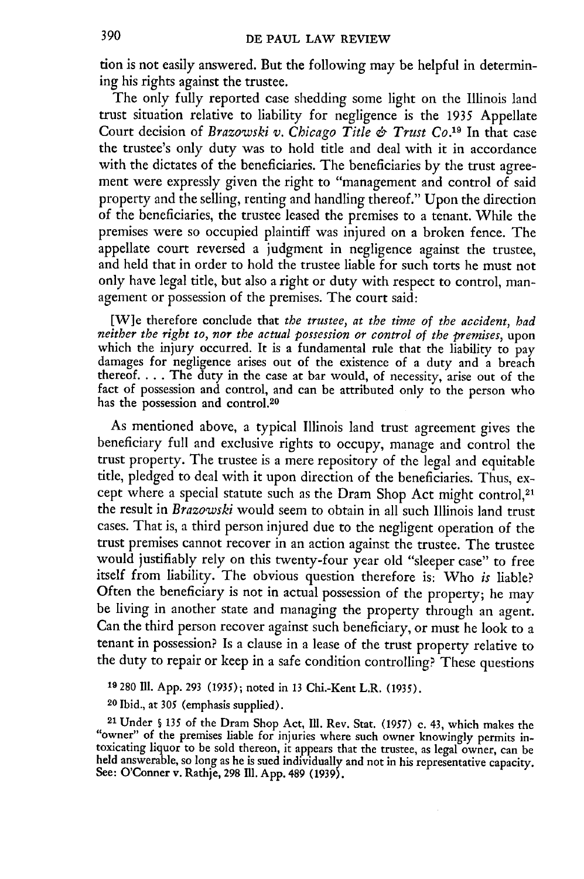tion is not easily answered. But the following may be helpful in determining his rights against the trustee.

The only fully reported case shedding some light on the Illinois land trust situation relative to liability for negligence is the **1935** Appellate Court decision of *Brazowski v. Chicago Title & Trust Co.19* In that case the trustee's only duty was to hold title and deal with it in accordance with the dictates of the beneficiaries. The beneficiaries **by** the trust agreement were expressly given the right to "management and control of said property and the selling, renting and handling thereof." Upon the direction of the beneficiaries, the trustee leased the premises to a tenant. While the premises were so occupied plaintiff was injured on a broken fence. The appellate court reversed a judgment in negligence against the trustee, and held that in order to hold the trustee liable for such torts he must not only have legal title, but also a right or duty with respect to control, management or possession of the premises. The court said:

**[W]e** therefore conclude that *the trustee, at the time of the accident, bad neither the right to, nor the actual possession or control of the premises,* upon which the injury occurred. It is a fundamental rule that the liability to pay damages for negligence arises out of the existence of a duty and a breach thereof. . . . The duty in the case at bar would, of necessity, arise out of the fact of possession and control, and can be attributed only to the person who has the possession and control.<sup>20</sup>

As mentioned above, a typical Illinois land trust agreement gives the beneficiary full and exclusive rights to occupy, manage and control the trust property. The trustee is a mere repository of the legal and equitable title, pledged to deal with it upon direction of the beneficiaries. Thus, except where a special statute such as the Dram Shop Act might control,<sup>21</sup> the result in *Brazowski* would seem to obtain in all such Illinois land trust cases. That is, a third person injured due to the negligent operation of the trust premises cannot recover in an action against the trustee. The trustee would justifiably rely on this twenty-four year old "sleeper case" to free itself from liability. The obvious question therefore is: Who *is* liable? Often the beneficiary is not in actual possession of the property; he may be living in another state and managing the property through an agent. Can the third person recover against such beneficiary, or must he look to a tenant in possession? Is a clause in a lease of the trust property relative to the duty to repair or keep in a safe condition controlling? These questions

**19 280 Ill. App. 293 (1935);** noted in **13** Chi.-Kent L.R. **(1935).**

**20** Ibid., at *305* (emphasis supplied).

21 Under **§** *135* of the Dram Shop Act, **Ill.** Rev. Star. **(1957)** c. 43, which makes the "owner" of the premises liable for injuries where such owner knowingly permits intoxicating liquor to be sold thereon, **it** appears that the trustee, as legal **owner,** can be held answerable, so long as he is sued individually and not in his representative capacity. See: O'Conner v. Rathje, 298 Ill. App. 489 (1939).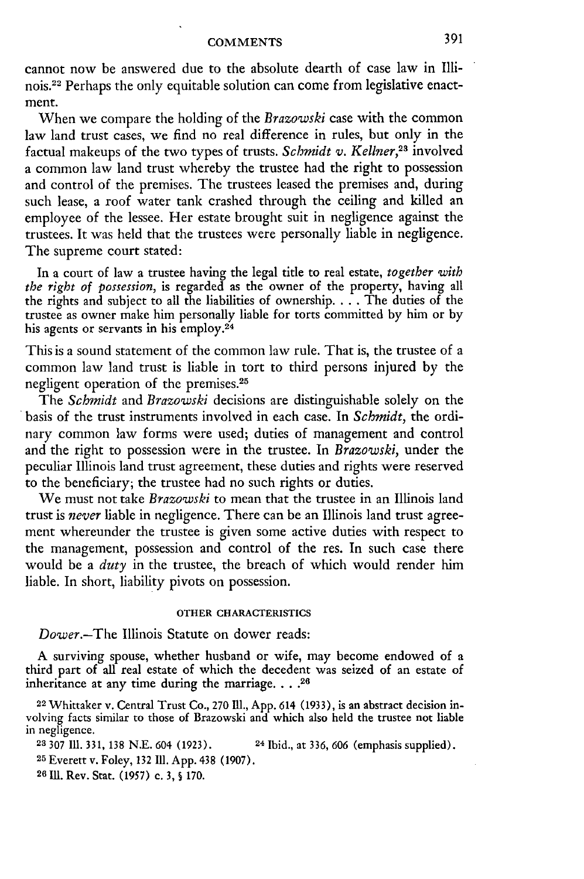cannot now be answered due to the absolute dearth of case law in Illinois.22 Perhaps the only equitable solution can come from legislative enactment.

When we compare the holding of the *Brazowski* case with the common law land trust cases, we find no real difference in rules, but only in the factual makeups of the two types of trusts. *Schmidt v. Kellner*,<sup>23</sup> involved a common law land trust whereby the trustee had the right to possession and control of the premises. The trustees leased the premises and, during such lease, a roof water tank crashed through the ceiling and killed an employee of the lessee. Her estate brought suit in negligence against the trustees. It was held that the trustees were personally liable in negligence. The supreme court stated:

In a court of law a trustee having the legal title to real estate, *together with the right of possession,* is regarded as the owner of the property, having all the rights and subject to all the liabilities of ownership **....** The duties of the trustee as owner make him personally liable for torts committed by him or by his agents or servants in his employ.<sup>24</sup>

This is a sound statement of the common law rule. That is, the trustee of a common law land trust is liable in tort to third persons injured by the negligent operation of the premises. <sup>25</sup>

The *Schmidt* and *Brazowski* decisions are distinguishable solely on the basis of the trust instruments involved in each case. In *Schmidt,* the ordinary common law forms were used; duties of management and control and the right to possession were in the trustee. In *Brazowski,* under the peculiar Illinois land trust agreement, these duties and rights were reserved to the beneficiary; the trustee had no such rights or duties.

We must not take *Brazowski* to mean that the trustee in an Illinois land trust is *never* liable in negligence. There can be an Illinois land trust agreement whereunder the trustee is given some active duties with respect to the management, possession and control of the res. In such case there would be a *duty* in the trustee, the breach of which would render him liable. In short, liability pivots on possession.

#### OTHER CHARACTERISTICS

*Dower.-The* Illinois Statute on dower reads:

A surviving spouse, whether husband or wife, may become endowed of a third part of all real estate of which the decedent was seized of an estate of inheritance at any time during the marriage. . . .<sup>26</sup>

<sup>22</sup> Whittaker v. Central Trust Co., 270 Ill., App. 614 (1933), is an abstract decision involving facts similar to those of Brazowski and which also held the trustee not liable in negligence.

**23 307** Ill. 331, 138 N.E. 604 (1923). **24** Ibid., at 336, 606 (emphasis supplied). **<sup>25</sup>**Everett v. Foley, 132 111. App. 438 (1907). **26 Ill.** Rev. Stat. **(1957)** c. 3, **S** 170.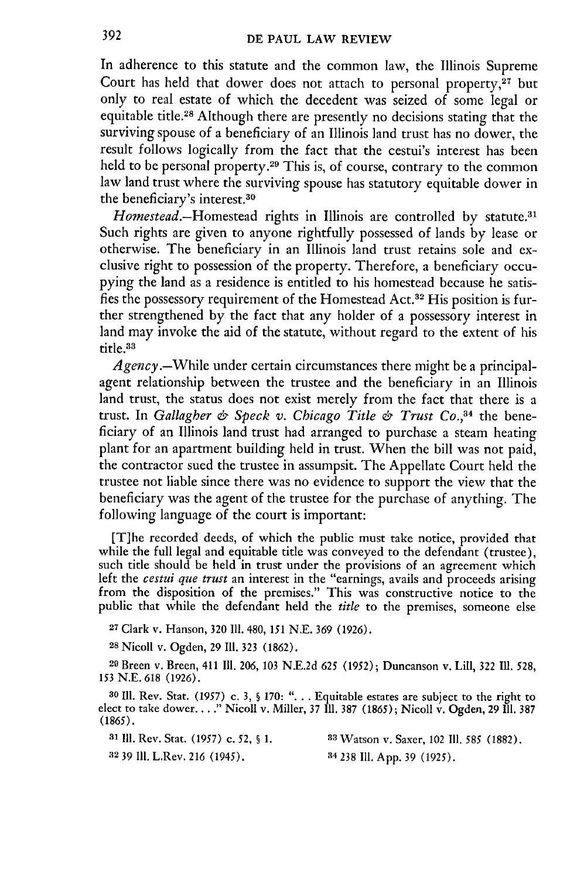In adherence to this statute and the common law, the Illinois Supreme Court has held that dower does not attach to personal property, $27$  but only to real estate of which the decedent was seized of some legal or equitable title. 28 Although there are presently no decisions stating that the surviving spouse of a beneficiary of an Illinois land trust has no dower, the result follows logically from the fact that the cestui's interest has been held to be personal property.<sup>29</sup> This is, of course, contrary to the common law land trust where the surviving spouse has statutory equitable dower in the beneficiary's interest.<sup>30</sup>

Homestead.-Homestead rights in Illinois are controlled by statute.<sup>31</sup> Such rights are given to anyone rightfully possessed of lands by lease or otherwise. The beneficiary in an Illinois land trust retains sole and exclusive right to possession of the property. Therefore, a beneficiary occupying the land as a residence is entitled to his homestead because he satisfies the possessory requirement of the Homestead Act.32 His position is further strengthened by the fact that any holder of a possessory interest in land may invoke the aid of the statute, without regard to the extent of his title.<sup>33</sup>

*Agency.-While* under certain circumstances there might be a principalagent relationship between the trustee and the beneficiary in an Illinois land trust, the status does not exist merely from the fact that there is a trust. In *Gallagher & Speck v. Chicago Title & Trust Co.,3 <sup>4</sup>*the beneficiary of an Illinois land trust had arranged to purchase a steam heating plant for an apartment building held in trust. When the bill was not paid, the contractor sued the trustee in assumpsit. The Appellate Court held the trustee not liable since there was no evidence to support the view that the beneficiary was the agent of the trustee for the purchase of anything. The following language of the court is important:

[T]he recorded deeds, of which the public must take notice, provided that while the full legal and equitable title was conveyed to the defendant (trustee), such title should be held in trust under the provisions of an agreement which left the *cestui que trust* an interest in the "earnings, avails and proceeds arising from the disposition of the premises." This was constructive notice to the public that while the defendant held the *title* to the premises, someone else

**27** Clark v. Hanson, **320 Il.** 480, **151 N.E.** 369 (1926).

**<sup>28</sup>**Nicoll v. Ogden, 29 Ill. 323 (1862).

29 Breen v. Breen, 411 **I11.** 206, 103 N.E.2d 625 (1952); Duncanson v. Lill, 322 **Ill.** 528, *153* N.E. 618 (1926).

**30 111.** Rev. Stat. (1957) c. 3, § 170: "... Equitable estates are subject to the right to elect to take dower...." Nicoll v. Miller, 37 Ill. 387 (1865); Nicoll v. Ogden, 29 **Hl.** <sup>387</sup> (1865).

**31 111.** Rev. Stat. (1957) c. *52, §* 1. **33** Watson v. Saxer, 102 II. 585 (1882).

**32 39** II. L.Rev. **216** (1945). 34 238 Ill. App. 39 (1925).